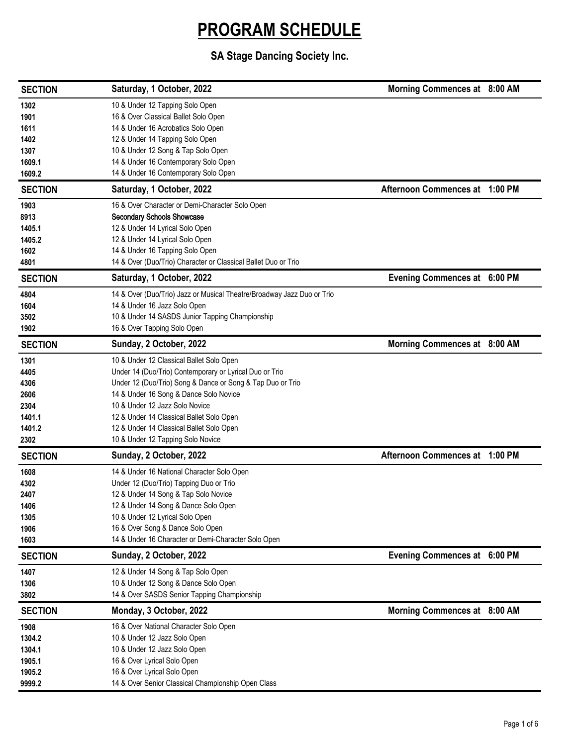| <b>SECTION</b> | Saturday, 1 October, 2022                                              | Morning Commences at 8:00 AM   |  |
|----------------|------------------------------------------------------------------------|--------------------------------|--|
| 1302           | 10 & Under 12 Tapping Solo Open                                        |                                |  |
| 1901           | 16 & Over Classical Ballet Solo Open                                   |                                |  |
| 1611           | 14 & Under 16 Acrobatics Solo Open                                     |                                |  |
| 1402           | 12 & Under 14 Tapping Solo Open                                        |                                |  |
| 1307           | 10 & Under 12 Song & Tap Solo Open                                     |                                |  |
| 1609.1         | 14 & Under 16 Contemporary Solo Open                                   |                                |  |
| 1609.2         | 14 & Under 16 Contemporary Solo Open                                   |                                |  |
| <b>SECTION</b> | Saturday, 1 October, 2022                                              | Afternoon Commences at 1:00 PM |  |
| 1903           | 16 & Over Character or Demi-Character Solo Open                        |                                |  |
| 8913           | <b>Secondary Schools Showcase</b>                                      |                                |  |
| 1405.1         | 12 & Under 14 Lyrical Solo Open                                        |                                |  |
| 1405.2         | 12 & Under 14 Lyrical Solo Open                                        |                                |  |
| 1602           | 14 & Under 16 Tapping Solo Open                                        |                                |  |
| 4801           | 14 & Over (Duo/Trio) Character or Classical Ballet Duo or Trio         |                                |  |
| <b>SECTION</b> | Saturday, 1 October, 2022                                              | Evening Commences at 6:00 PM   |  |
| 4804           | 14 & Over (Duo/Trio) Jazz or Musical Theatre/Broadway Jazz Duo or Trio |                                |  |
| 1604           | 14 & Under 16 Jazz Solo Open                                           |                                |  |
| 3502           | 10 & Under 14 SASDS Junior Tapping Championship                        |                                |  |
| 1902           | 16 & Over Tapping Solo Open                                            |                                |  |
| <b>SECTION</b> | Sunday, 2 October, 2022                                                | Morning Commences at 8:00 AM   |  |
| 1301           | 10 & Under 12 Classical Ballet Solo Open                               |                                |  |
| 4405           | Under 14 (Duo/Trio) Contemporary or Lyrical Duo or Trio                |                                |  |
| 4306           | Under 12 (Duo/Trio) Song & Dance or Song & Tap Duo or Trio             |                                |  |
| 2606           | 14 & Under 16 Song & Dance Solo Novice                                 |                                |  |
| 2304           | 10 & Under 12 Jazz Solo Novice                                         |                                |  |
| 1401.1         | 12 & Under 14 Classical Ballet Solo Open                               |                                |  |
| 1401.2         | 12 & Under 14 Classical Ballet Solo Open                               |                                |  |
| 2302           | 10 & Under 12 Tapping Solo Novice                                      |                                |  |
| <b>SECTION</b> | Sunday, 2 October, 2022                                                | Afternoon Commences at 1:00 PM |  |
| 1608           | 14 & Under 16 National Character Solo Open                             |                                |  |
| 4302           | Under 12 (Duo/Trio) Tapping Duo or Trio                                |                                |  |
| 2407           | 12 & Under 14 Song & Tap Solo Novice                                   |                                |  |
| 1406           | 12 & Under 14 Song & Dance Solo Open                                   |                                |  |
| 1305           | 10 & Under 12 Lyrical Solo Open                                        |                                |  |
| 1906           | 16 & Over Song & Dance Solo Open                                       |                                |  |
| 1603           | 14 & Under 16 Character or Demi-Character Solo Open                    |                                |  |
| <b>SECTION</b> | Sunday, 2 October, 2022                                                | Evening Commences at 6:00 PM   |  |
| 1407           | 12 & Under 14 Song & Tap Solo Open                                     |                                |  |
| 1306           | 10 & Under 12 Song & Dance Solo Open                                   |                                |  |
| 3802           | 14 & Over SASDS Senior Tapping Championship                            |                                |  |
| <b>SECTION</b> | Monday, 3 October, 2022                                                | Morning Commences at 8:00 AM   |  |
| 1908           | 16 & Over National Character Solo Open                                 |                                |  |
| 1304.2         | 10 & Under 12 Jazz Solo Open                                           |                                |  |
| 1304.1         | 10 & Under 12 Jazz Solo Open                                           |                                |  |
| 1905.1         | 16 & Over Lyrical Solo Open                                            |                                |  |
| 1905.2         | 16 & Over Lyrical Solo Open                                            |                                |  |
| 9999.2         | 14 & Over Senior Classical Championship Open Class                     |                                |  |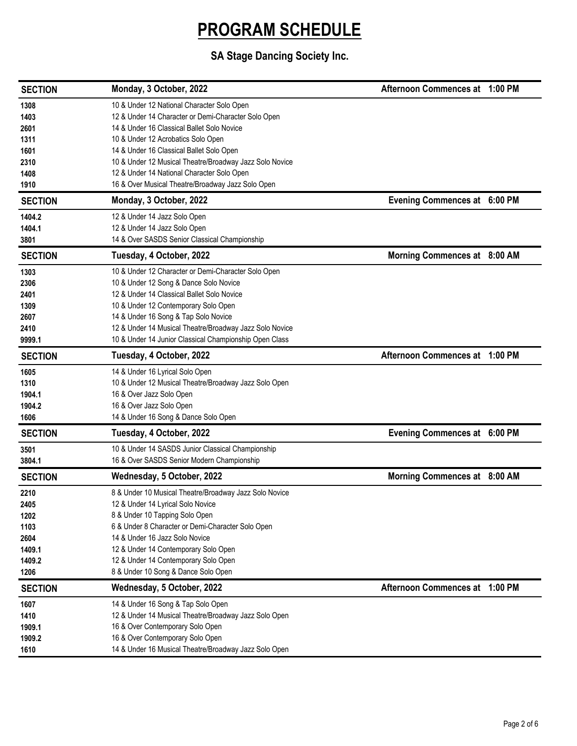| <b>SECTION</b> | Monday, 3 October, 2022                                 | Afternoon Commences at 1:00 PM |  |
|----------------|---------------------------------------------------------|--------------------------------|--|
| 1308           | 10 & Under 12 National Character Solo Open              |                                |  |
| 1403           | 12 & Under 14 Character or Demi-Character Solo Open     |                                |  |
| 2601           | 14 & Under 16 Classical Ballet Solo Novice              |                                |  |
| 1311           | 10 & Under 12 Acrobatics Solo Open                      |                                |  |
| 1601           | 14 & Under 16 Classical Ballet Solo Open                |                                |  |
| 2310           | 10 & Under 12 Musical Theatre/Broadway Jazz Solo Novice |                                |  |
| 1408           | 12 & Under 14 National Character Solo Open              |                                |  |
| 1910           | 16 & Over Musical Theatre/Broadway Jazz Solo Open       |                                |  |
| <b>SECTION</b> | Monday, 3 October, 2022                                 | Evening Commences at 6:00 PM   |  |
| 1404.2         | 12 & Under 14 Jazz Solo Open                            |                                |  |
| 1404.1         | 12 & Under 14 Jazz Solo Open                            |                                |  |
| 3801           | 14 & Over SASDS Senior Classical Championship           |                                |  |
| <b>SECTION</b> | Tuesday, 4 October, 2022                                | Morning Commences at 8:00 AM   |  |
| 1303           | 10 & Under 12 Character or Demi-Character Solo Open     |                                |  |
| 2306           | 10 & Under 12 Song & Dance Solo Novice                  |                                |  |
| 2401           | 12 & Under 14 Classical Ballet Solo Novice              |                                |  |
| 1309           | 10 & Under 12 Contemporary Solo Open                    |                                |  |
| 2607           | 14 & Under 16 Song & Tap Solo Novice                    |                                |  |
| 2410           | 12 & Under 14 Musical Theatre/Broadway Jazz Solo Novice |                                |  |
| 9999.1         | 10 & Under 14 Junior Classical Championship Open Class  |                                |  |
| <b>SECTION</b> | Tuesday, 4 October, 2022                                | Afternoon Commences at 1:00 PM |  |
| 1605           | 14 & Under 16 Lyrical Solo Open                         |                                |  |
| 1310           | 10 & Under 12 Musical Theatre/Broadway Jazz Solo Open   |                                |  |
| 1904.1         | 16 & Over Jazz Solo Open                                |                                |  |
| 1904.2         | 16 & Over Jazz Solo Open                                |                                |  |
| 1606           | 14 & Under 16 Song & Dance Solo Open                    |                                |  |
| <b>SECTION</b> | Tuesday, 4 October, 2022                                | Evening Commences at 6:00 PM   |  |
|                |                                                         |                                |  |
| 3501           | 10 & Under 14 SASDS Junior Classical Championship       |                                |  |
| 3804.1         | 16 & Over SASDS Senior Modern Championship              |                                |  |
| <b>SECTION</b> | Wednesday, 5 October, 2022                              | Morning Commences at 8:00 AM   |  |
| 2210           | 8 & Under 10 Musical Theatre/Broadway Jazz Solo Novice  |                                |  |
| 2405           | 12 & Under 14 Lyrical Solo Novice                       |                                |  |
| 1202           | 8 & Under 10 Tapping Solo Open                          |                                |  |
| 1103           | 6 & Under 8 Character or Demi-Character Solo Open       |                                |  |
| 2604           | 14 & Under 16 Jazz Solo Novice                          |                                |  |
| 1409.1         | 12 & Under 14 Contemporary Solo Open                    |                                |  |
| 1409.2         | 12 & Under 14 Contemporary Solo Open                    |                                |  |
| 1206           | 8 & Under 10 Song & Dance Solo Open                     |                                |  |
| <b>SECTION</b> | Wednesday, 5 October, 2022                              | Afternoon Commences at 1:00 PM |  |
| 1607           | 14 & Under 16 Song & Tap Solo Open                      |                                |  |
| 1410           | 12 & Under 14 Musical Theatre/Broadway Jazz Solo Open   |                                |  |
| 1909.1         | 16 & Over Contemporary Solo Open                        |                                |  |
| 1909.2         | 16 & Over Contemporary Solo Open                        |                                |  |
| 1610           | 14 & Under 16 Musical Theatre/Broadway Jazz Solo Open   |                                |  |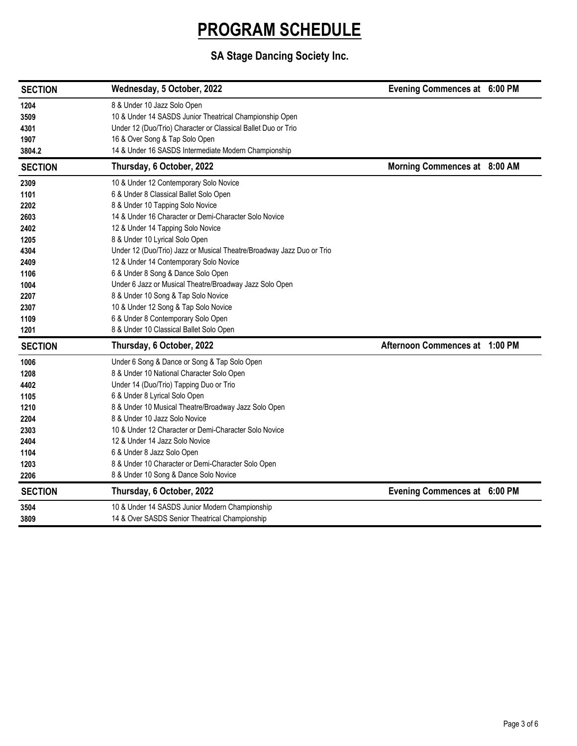| <b>SECTION</b>                                                                                               | Wednesday, 5 October, 2022                                                                                                                                                                                                                                                                                                                                                                                                                                                                                                                                                                                                               | Evening Commences at 6:00 PM   |  |
|--------------------------------------------------------------------------------------------------------------|------------------------------------------------------------------------------------------------------------------------------------------------------------------------------------------------------------------------------------------------------------------------------------------------------------------------------------------------------------------------------------------------------------------------------------------------------------------------------------------------------------------------------------------------------------------------------------------------------------------------------------------|--------------------------------|--|
| 1204<br>3509<br>4301<br>1907<br>3804.2                                                                       | 8 & Under 10 Jazz Solo Open<br>10 & Under 14 SASDS Junior Theatrical Championship Open<br>Under 12 (Duo/Trio) Character or Classical Ballet Duo or Trio<br>16 & Over Song & Tap Solo Open<br>14 & Under 16 SASDS Intermediate Modern Championship                                                                                                                                                                                                                                                                                                                                                                                        |                                |  |
| <b>SECTION</b>                                                                                               | Thursday, 6 October, 2022                                                                                                                                                                                                                                                                                                                                                                                                                                                                                                                                                                                                                | Morning Commences at 8:00 AM   |  |
| 2309<br>1101<br>2202<br>2603<br>2402<br>1205<br>4304<br>2409<br>1106<br>1004<br>2207<br>2307<br>1109<br>1201 | 10 & Under 12 Contemporary Solo Novice<br>6 & Under 8 Classical Ballet Solo Open<br>8 & Under 10 Tapping Solo Novice<br>14 & Under 16 Character or Demi-Character Solo Novice<br>12 & Under 14 Tapping Solo Novice<br>8 & Under 10 Lyrical Solo Open<br>Under 12 (Duo/Trio) Jazz or Musical Theatre/Broadway Jazz Duo or Trio<br>12 & Under 14 Contemporary Solo Novice<br>6 & Under 8 Song & Dance Solo Open<br>Under 6 Jazz or Musical Theatre/Broadway Jazz Solo Open<br>8 & Under 10 Song & Tap Solo Novice<br>10 & Under 12 Song & Tap Solo Novice<br>6 & Under 8 Contemporary Solo Open<br>8 & Under 10 Classical Ballet Solo Open |                                |  |
| <b>SECTION</b>                                                                                               | Thursday, 6 October, 2022                                                                                                                                                                                                                                                                                                                                                                                                                                                                                                                                                                                                                | Afternoon Commences at 1:00 PM |  |
| 1006<br>1208<br>4402<br>1105<br>1210<br>2204<br>2303<br>2404<br>1104<br>1203<br>2206                         | Under 6 Song & Dance or Song & Tap Solo Open<br>8 & Under 10 National Character Solo Open<br>Under 14 (Duo/Trio) Tapping Duo or Trio<br>6 & Under 8 Lyrical Solo Open<br>8 & Under 10 Musical Theatre/Broadway Jazz Solo Open<br>8 & Under 10 Jazz Solo Novice<br>10 & Under 12 Character or Demi-Character Solo Novice<br>12 & Under 14 Jazz Solo Novice<br>6 & Under 8 Jazz Solo Open<br>8 & Under 10 Character or Demi-Character Solo Open<br>8 & Under 10 Song & Dance Solo Novice                                                                                                                                                   |                                |  |
| <b>SECTION</b>                                                                                               | Thursday, 6 October, 2022                                                                                                                                                                                                                                                                                                                                                                                                                                                                                                                                                                                                                | Evening Commences at 6:00 PM   |  |
| 3504<br>3809                                                                                                 | 10 & Under 14 SASDS Junior Modern Championship<br>14 & Over SASDS Senior Theatrical Championship                                                                                                                                                                                                                                                                                                                                                                                                                                                                                                                                         |                                |  |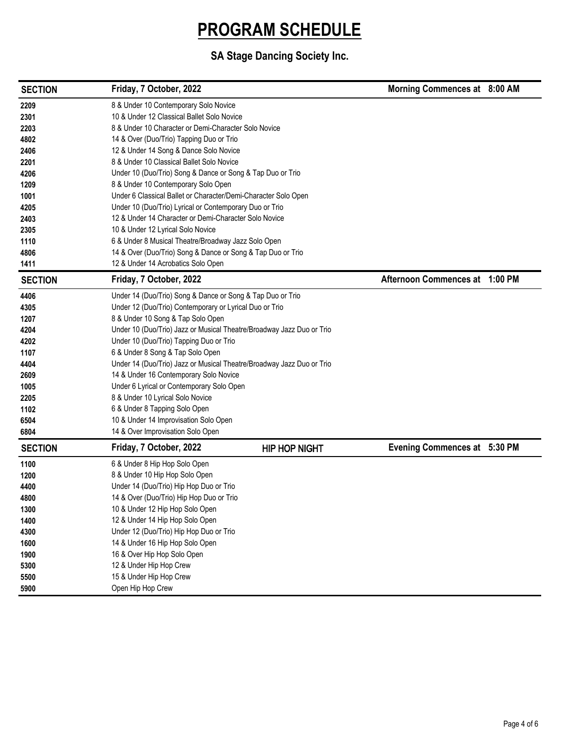| <b>SECTION</b> | Friday, 7 October, 2022                                               |                      | Morning Commences at 8:00 AM   |  |
|----------------|-----------------------------------------------------------------------|----------------------|--------------------------------|--|
| 2209           | 8 & Under 10 Contemporary Solo Novice                                 |                      |                                |  |
| 2301           | 10 & Under 12 Classical Ballet Solo Novice                            |                      |                                |  |
| 2203           | 8 & Under 10 Character or Demi-Character Solo Novice                  |                      |                                |  |
| 4802           | 14 & Over (Duo/Trio) Tapping Duo or Trio                              |                      |                                |  |
| 2406           | 12 & Under 14 Song & Dance Solo Novice                                |                      |                                |  |
| 2201           | 8 & Under 10 Classical Ballet Solo Novice                             |                      |                                |  |
| 4206           | Under 10 (Duo/Trio) Song & Dance or Song & Tap Duo or Trio            |                      |                                |  |
| 1209           | 8 & Under 10 Contemporary Solo Open                                   |                      |                                |  |
| 1001           | Under 6 Classical Ballet or Character/Demi-Character Solo Open        |                      |                                |  |
| 4205           | Under 10 (Duo/Trio) Lyrical or Contemporary Duo or Trio               |                      |                                |  |
| 2403           | 12 & Under 14 Character or Demi-Character Solo Novice                 |                      |                                |  |
| 2305           | 10 & Under 12 Lyrical Solo Novice                                     |                      |                                |  |
| 1110           | 6 & Under 8 Musical Theatre/Broadway Jazz Solo Open                   |                      |                                |  |
| 4806           | 14 & Over (Duo/Trio) Song & Dance or Song & Tap Duo or Trio           |                      |                                |  |
| 1411           | 12 & Under 14 Acrobatics Solo Open                                    |                      |                                |  |
| <b>SECTION</b> | Friday, 7 October, 2022                                               |                      | Afternoon Commences at 1:00 PM |  |
| 4406           | Under 14 (Duo/Trio) Song & Dance or Song & Tap Duo or Trio            |                      |                                |  |
| 4305           | Under 12 (Duo/Trio) Contemporary or Lyrical Duo or Trio               |                      |                                |  |
| 1207           | 8 & Under 10 Song & Tap Solo Open                                     |                      |                                |  |
| 4204           | Under 10 (Duo/Trio) Jazz or Musical Theatre/Broadway Jazz Duo or Trio |                      |                                |  |
| 4202           | Under 10 (Duo/Trio) Tapping Duo or Trio                               |                      |                                |  |
| 1107           | 6 & Under 8 Song & Tap Solo Open                                      |                      |                                |  |
| 4404           | Under 14 (Duo/Trio) Jazz or Musical Theatre/Broadway Jazz Duo or Trio |                      |                                |  |
| 2609           | 14 & Under 16 Contemporary Solo Novice                                |                      |                                |  |
| 1005           | Under 6 Lyrical or Contemporary Solo Open                             |                      |                                |  |
| 2205           | 8 & Under 10 Lyrical Solo Novice                                      |                      |                                |  |
| 1102           | 6 & Under 8 Tapping Solo Open                                         |                      |                                |  |
| 6504           | 10 & Under 14 Improvisation Solo Open                                 |                      |                                |  |
| 6804           | 14 & Over Improvisation Solo Open                                     |                      |                                |  |
| <b>SECTION</b> | Friday, 7 October, 2022                                               | <b>HIP HOP NIGHT</b> | Evening Commences at 5:30 PM   |  |
| 1100           | 6 & Under 8 Hip Hop Solo Open                                         |                      |                                |  |
| 1200           | 8 & Under 10 Hip Hop Solo Open                                        |                      |                                |  |
| 4400           | Under 14 (Duo/Trio) Hip Hop Duo or Trio                               |                      |                                |  |
| 4800           | 14 & Over (Duo/Trio) Hip Hop Duo or Trio                              |                      |                                |  |
| 1300           | 10 & Under 12 Hip Hop Solo Open                                       |                      |                                |  |
| 1400           | 12 & Under 14 Hip Hop Solo Open                                       |                      |                                |  |
| 4300           | Under 12 (Duo/Trio) Hip Hop Duo or Trio                               |                      |                                |  |
| 1600           | 14 & Under 16 Hip Hop Solo Open                                       |                      |                                |  |
| 1900           | 16 & Over Hip Hop Solo Open                                           |                      |                                |  |
| 5300           | 12 & Under Hip Hop Crew                                               |                      |                                |  |
| 5500           | 15 & Under Hip Hop Crew                                               |                      |                                |  |
| 5900           | Open Hip Hop Crew                                                     |                      |                                |  |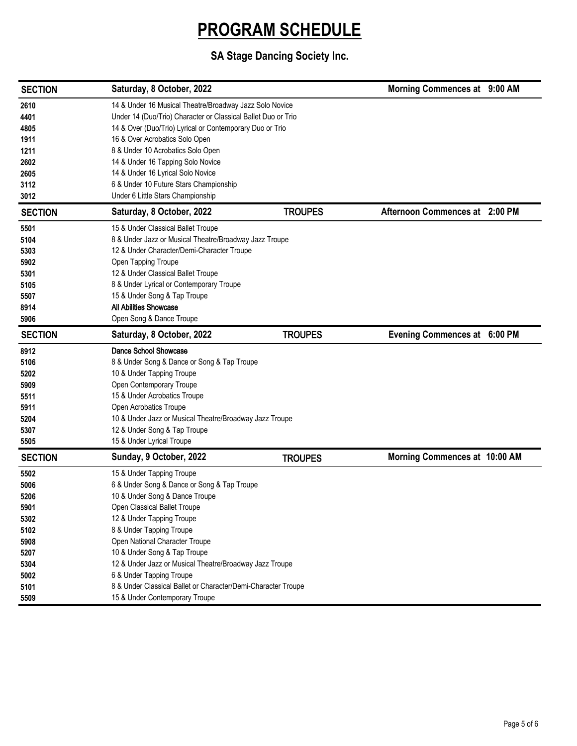| <b>SECTION</b> | Saturday, 8 October, 2022                                     |                | Morning Commences at 9:00 AM   |  |
|----------------|---------------------------------------------------------------|----------------|--------------------------------|--|
| 2610           | 14 & Under 16 Musical Theatre/Broadway Jazz Solo Novice       |                |                                |  |
| 4401           | Under 14 (Duo/Trio) Character or Classical Ballet Duo or Trio |                |                                |  |
| 4805           | 14 & Over (Duo/Trio) Lyrical or Contemporary Duo or Trio      |                |                                |  |
| 1911           | 16 & Over Acrobatics Solo Open                                |                |                                |  |
| 1211           | 8 & Under 10 Acrobatics Solo Open                             |                |                                |  |
| 2602           | 14 & Under 16 Tapping Solo Novice                             |                |                                |  |
| 2605           | 14 & Under 16 Lyrical Solo Novice                             |                |                                |  |
| 3112           | 6 & Under 10 Future Stars Championship                        |                |                                |  |
| 3012           | Under 6 Little Stars Championship                             |                |                                |  |
| <b>SECTION</b> | Saturday, 8 October, 2022                                     | <b>TROUPES</b> | Afternoon Commences at 2:00 PM |  |
| 5501           | 15 & Under Classical Ballet Troupe                            |                |                                |  |
| 5104           | 8 & Under Jazz or Musical Theatre/Broadway Jazz Troupe        |                |                                |  |
| 5303           | 12 & Under Character/Demi-Character Troupe                    |                |                                |  |
| 5902           | Open Tapping Troupe                                           |                |                                |  |
| 5301           | 12 & Under Classical Ballet Troupe                            |                |                                |  |
| 5105           | 8 & Under Lyrical or Contemporary Troupe                      |                |                                |  |
| 5507           | 15 & Under Song & Tap Troupe                                  |                |                                |  |
| 8914           | <b>All Abilities Showcase</b>                                 |                |                                |  |
| 5906           | Open Song & Dance Troupe                                      |                |                                |  |
| <b>SECTION</b> | Saturday, 8 October, 2022                                     | <b>TROUPES</b> | Evening Commences at 6:00 PM   |  |
| 8912           | Dance School Showcase                                         |                |                                |  |
| 5106           | 8 & Under Song & Dance or Song & Tap Troupe                   |                |                                |  |
| 5202           | 10 & Under Tapping Troupe                                     |                |                                |  |
| 5909           | Open Contemporary Troupe                                      |                |                                |  |
| 5511           | 15 & Under Acrobatics Troupe                                  |                |                                |  |
| 5911           | Open Acrobatics Troupe                                        |                |                                |  |
| 5204           | 10 & Under Jazz or Musical Theatre/Broadway Jazz Troupe       |                |                                |  |
| 5307           | 12 & Under Song & Tap Troupe                                  |                |                                |  |
| 5505           | 15 & Under Lyrical Troupe                                     |                |                                |  |
| <b>SECTION</b> | Sunday, 9 October, 2022                                       | <b>TROUPES</b> | Morning Commences at 10:00 AM  |  |
| 5502           | 15 & Under Tapping Troupe                                     |                |                                |  |
| 5006           | 6 & Under Song & Dance or Song & Tap Troupe                   |                |                                |  |
| 5206           | 10 & Under Song & Dance Troupe                                |                |                                |  |
| 5901           | Open Classical Ballet Troupe                                  |                |                                |  |
| 5302           | 12 & Under Tapping Troupe                                     |                |                                |  |
| 5102           | 8 & Under Tapping Troupe                                      |                |                                |  |
| 5908           | Open National Character Troupe                                |                |                                |  |
| 5207           | 10 & Under Song & Tap Troupe                                  |                |                                |  |
| 5304           | 12 & Under Jazz or Musical Theatre/Broadway Jazz Troupe       |                |                                |  |
| 5002           | 6 & Under Tapping Troupe                                      |                |                                |  |
| 5101           | 8 & Under Classical Ballet or Character/Demi-Character Troupe |                |                                |  |
| 5509           | 15 & Under Contemporary Troupe                                |                |                                |  |